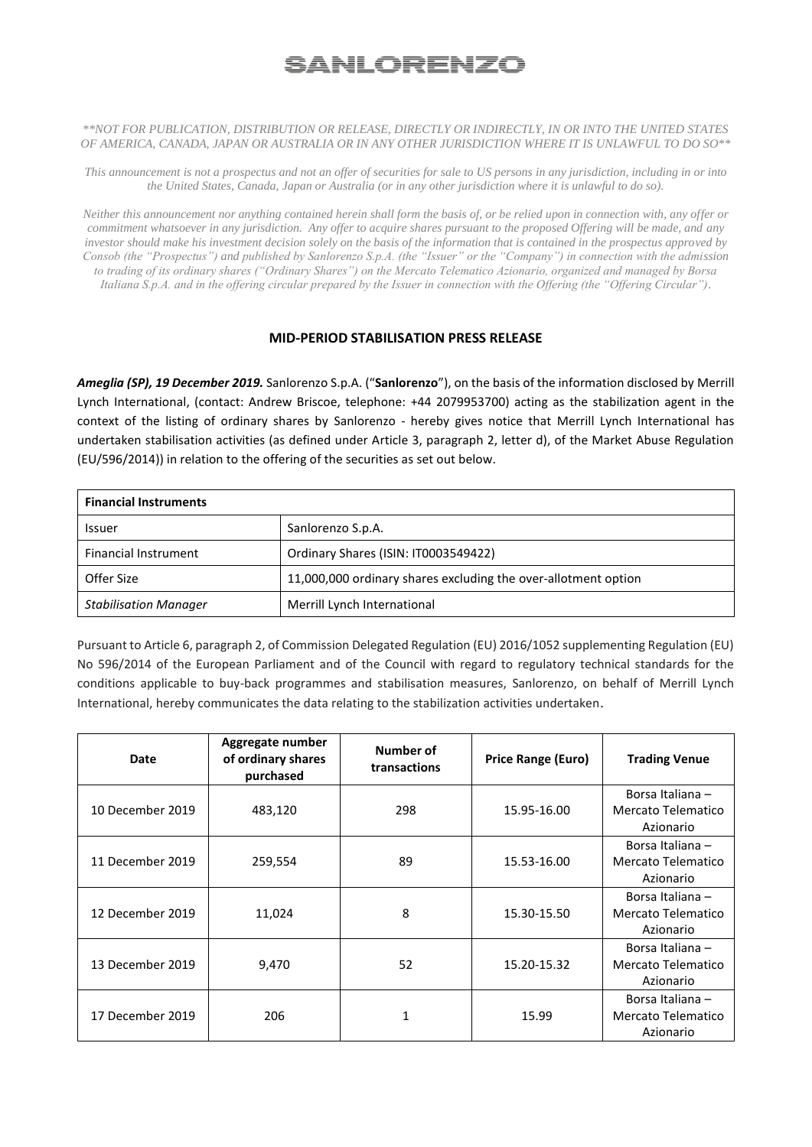## <u>SANLORENZO</u>

## *\*\*NOT FOR PUBLICATION, DISTRIBUTION OR RELEASE, DIRECTLY OR INDIRECTLY, IN OR INTO THE UNITED STATES OF AMERICA, CANADA, JAPAN OR AUSTRALIA OR IN ANY OTHER JURISDICTION WHERE IT IS UNLAWFUL TO DO SO\*\**

*This announcement is not a prospectus and not an offer of securities for sale to US persons in any jurisdiction, including in or into the United States, Canada, Japan or Australia (or in any other jurisdiction where it is unlawful to do so).*

*Neither this announcement nor anything contained herein shall form the basis of, or be relied upon in connection with, any offer or commitment whatsoever in any jurisdiction. Any offer to acquire shares pursuant to the proposed Offering will be made, and any investor should make his investment decision solely on the basis of the information that is contained in the prospectus approved by Consob (the "Prospectus") and published by Sanlorenzo S.p.A. (the "Issuer" or the "Company") in connection with the admission to trading of its ordinary shares ("Ordinary Shares") on the Mercato Telematico Azionario, organized and managed by Borsa Italiana S.p.A. and in the offering circular prepared by the Issuer in connection with the Offering (the "Offering Circular").*

## **MID-PERIOD STABILISATION PRESS RELEASE**

*Ameglia (SP), 19 December 2019.* Sanlorenzo S.p.A. ("**Sanlorenzo**"), on the basis of the information disclosed by Merrill Lynch International, (contact: Andrew Briscoe, telephone: +44 2079953700) acting as the stabilization agent in the context of the listing of ordinary shares by Sanlorenzo - hereby gives notice that Merrill Lynch International has undertaken stabilisation activities (as defined under Article 3, paragraph 2, letter d), of the Market Abuse Regulation (EU/596/2014)) in relation to the offering of the securities as set out below.

| <b>Financial Instruments</b> |                                                                |  |  |  |
|------------------------------|----------------------------------------------------------------|--|--|--|
| <b>Issuer</b>                | Sanlorenzo S.p.A.                                              |  |  |  |
| <b>Financial Instrument</b>  | Ordinary Shares (ISIN: IT0003549422)                           |  |  |  |
| Offer Size                   | 11,000,000 ordinary shares excluding the over-allotment option |  |  |  |
| <b>Stabilisation Manager</b> | Merrill Lynch International                                    |  |  |  |

Pursuant to Article 6, paragraph 2, of Commission Delegated Regulation (EU) 2016/1052 supplementing Regulation (EU) No 596/2014 of the European Parliament and of the Council with regard to regulatory technical standards for the conditions applicable to buy-back programmes and stabilisation measures, Sanlorenzo, on behalf of Merrill Lynch International, hereby communicates the data relating to the stabilization activities undertaken.

| Date             | Aggregate number<br>of ordinary shares<br>purchased | Number of<br>transactions | Price Range (Euro) | <b>Trading Venue</b>                                |
|------------------|-----------------------------------------------------|---------------------------|--------------------|-----------------------------------------------------|
| 10 December 2019 | 483,120                                             | 298                       | 15.95-16.00        | Borsa Italiana -<br>Mercato Telematico<br>Azionario |
| 11 December 2019 | 259,554                                             | 89                        | 15.53-16.00        | Borsa Italiana -<br>Mercato Telematico<br>Azionario |
| 12 December 2019 | 11,024                                              | 8                         | 15.30-15.50        | Borsa Italiana -<br>Mercato Telematico<br>Azionario |
| 13 December 2019 | 9,470                                               | 52                        | 15.20-15.32        | Borsa Italiana -<br>Mercato Telematico<br>Azionario |
| 17 December 2019 | 206                                                 | 1                         | 15.99              | Borsa Italiana -<br>Mercato Telematico<br>Azionario |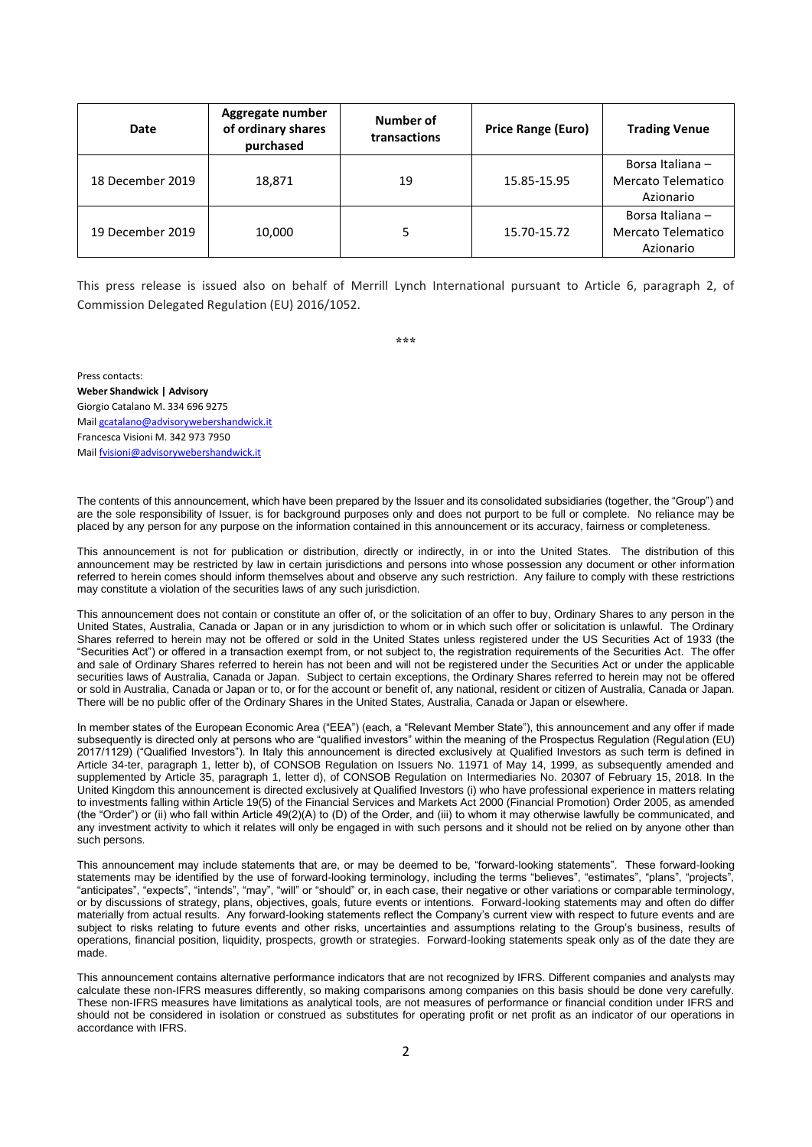| Date             | Aggregate number<br>of ordinary shares<br>purchased | Number of<br>transactions | <b>Price Range (Euro)</b> | <b>Trading Venue</b>                                |
|------------------|-----------------------------------------------------|---------------------------|---------------------------|-----------------------------------------------------|
| 18 December 2019 | 18,871                                              | 19                        | 15.85-15.95               | Borsa Italiana -<br>Mercato Telematico<br>Azionario |
| 19 December 2019 | 10,000                                              |                           | 15.70-15.72               | Borsa Italiana -<br>Mercato Telematico<br>Azionario |

This press release is issued also on behalf of Merrill Lynch International pursuant to Article 6, paragraph 2, of Commission Delegated Regulation (EU) 2016/1052.

**\*\*\***

Press contacts: **Weber Shandwick | Advisory** Giorgio Catalano M. 334 696 9275 Mail [gcatalano@advisorywebershandwick.it](mailto:gcatalano@advisorywebershandwick.it)  Francesca Visioni M. 342 973 7950 Mail [fvisioni@advisorywebershandwick.it](mailto:fvisioni@advisorywebershandwick.it)

The contents of this announcement, which have been prepared by the Issuer and its consolidated subsidiaries (together, the "Group") and are the sole responsibility of Issuer, is for background purposes only and does not purport to be full or complete. No reliance may be placed by any person for any purpose on the information contained in this announcement or its accuracy, fairness or completeness.

This announcement is not for publication or distribution, directly or indirectly, in or into the United States. The distribution of this announcement may be restricted by law in certain jurisdictions and persons into whose possession any document or other information referred to herein comes should inform themselves about and observe any such restriction. Any failure to comply with these restrictions may constitute a violation of the securities laws of any such jurisdiction.

This announcement does not contain or constitute an offer of, or the solicitation of an offer to buy, Ordinary Shares to any person in the United States, Australia, Canada or Japan or in any jurisdiction to whom or in which such offer or solicitation is unlawful. The Ordinary Shares referred to herein may not be offered or sold in the United States unless registered under the US Securities Act of 1933 (the "Securities Act") or offered in a transaction exempt from, or not subject to, the registration requirements of the Securities Act. The offer and sale of Ordinary Shares referred to herein has not been and will not be registered under the Securities Act or under the applicable securities laws of Australia, Canada or Japan. Subject to certain exceptions, the Ordinary Shares referred to herein may not be offered or sold in Australia, Canada or Japan or to, or for the account or benefit of, any national, resident or citizen of Australia, Canada or Japan. There will be no public offer of the Ordinary Shares in the United States, Australia, Canada or Japan or elsewhere.

In member states of the European Economic Area ("EEA") (each, a "Relevant Member State"), this announcement and any offer if made subsequently is directed only at persons who are "qualified investors" within the meaning of the Prospectus Regulation (Regulation (EU) 2017/1129) ("Qualified Investors"). In Italy this announcement is directed exclusively at Qualified Investors as such term is defined in Article 34-ter, paragraph 1, letter b), of CONSOB Regulation on Issuers No. 11971 of May 14, 1999, as subsequently amended and supplemented by Article 35, paragraph 1, letter d), of CONSOB Regulation on Intermediaries No. 20307 of February 15, 2018. In the United Kingdom this announcement is directed exclusively at Qualified Investors (i) who have professional experience in matters relating to investments falling within Article 19(5) of the Financial Services and Markets Act 2000 (Financial Promotion) Order 2005, as amended (the "Order") or (ii) who fall within Article 49(2)(A) to (D) of the Order, and (iii) to whom it may otherwise lawfully be communicated, and any investment activity to which it relates will only be engaged in with such persons and it should not be relied on by anyone other than such persons.

This announcement may include statements that are, or may be deemed to be, "forward-looking statements". These forward-looking statements may be identified by the use of forward-looking terminology, including the terms "believes", "estimates", "plans", "projects", "anticipates", "expects", "intends", "may", "will" or "should" or, in each case, their negative or other variations or comparable terminology, or by discussions of strategy, plans, objectives, goals, future events or intentions. Forward-looking statements may and often do differ materially from actual results. Any forward-looking statements reflect the Company's current view with respect to future events and are subject to risks relating to future events and other risks, uncertainties and assumptions relating to the Group's business, results of operations, financial position, liquidity, prospects, growth or strategies. Forward-looking statements speak only as of the date they are made.

This announcement contains alternative performance indicators that are not recognized by IFRS. Different companies and analysts may calculate these non-IFRS measures differently, so making comparisons among companies on this basis should be done very carefully. These non-IFRS measures have limitations as analytical tools, are not measures of performance or financial condition under IFRS and should not be considered in isolation or construed as substitutes for operating profit or net profit as an indicator of our operations in accordance with IFRS.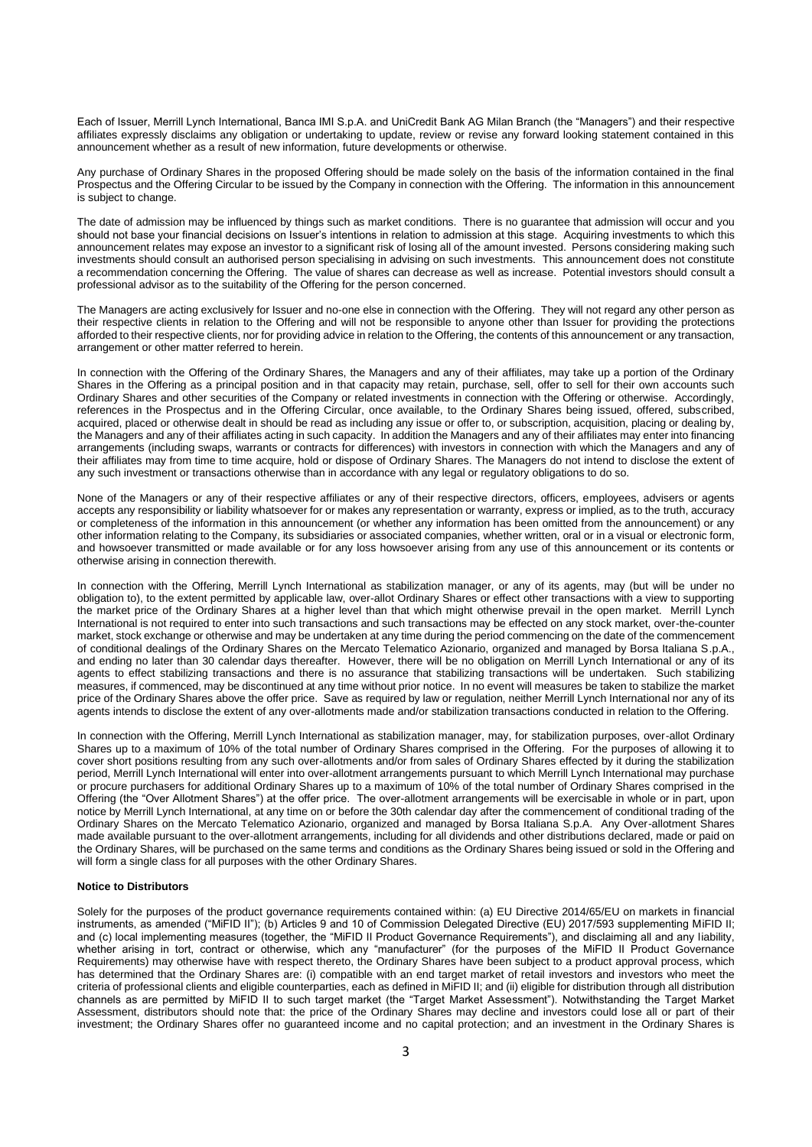Each of Issuer, Merrill Lynch International, Banca IMI S.p.A. and UniCredit Bank AG Milan Branch (the "Managers") and their respective affiliates expressly disclaims any obligation or undertaking to update, review or revise any forward looking statement contained in this announcement whether as a result of new information, future developments or otherwise.

Any purchase of Ordinary Shares in the proposed Offering should be made solely on the basis of the information contained in the final Prospectus and the Offering Circular to be issued by the Company in connection with the Offering. The information in this announcement is subject to change.

The date of admission may be influenced by things such as market conditions. There is no guarantee that admission will occur and you should not base your financial decisions on Issuer's intentions in relation to admission at this stage. Acquiring investments to which this announcement relates may expose an investor to a significant risk of losing all of the amount invested. Persons considering making such investments should consult an authorised person specialising in advising on such investments. This announcement does not constitute a recommendation concerning the Offering. The value of shares can decrease as well as increase. Potential investors should consult a professional advisor as to the suitability of the Offering for the person concerned.

The Managers are acting exclusively for Issuer and no-one else in connection with the Offering. They will not regard any other person as their respective clients in relation to the Offering and will not be responsible to anyone other than Issuer for providing the protections afforded to their respective clients, nor for providing advice in relation to the Offering, the contents of this announcement or any transaction, arrangement or other matter referred to herein.

In connection with the Offering of the Ordinary Shares, the Managers and any of their affiliates, may take up a portion of the Ordinary Shares in the Offering as a principal position and in that capacity may retain, purchase, sell, offer to sell for their own accounts such Ordinary Shares and other securities of the Company or related investments in connection with the Offering or otherwise. Accordingly, references in the Prospectus and in the Offering Circular, once available, to the Ordinary Shares being issued, offered, subscribed, acquired, placed or otherwise dealt in should be read as including any issue or offer to, or subscription, acquisition, placing or dealing by, the Managers and any of their affiliates acting in such capacity. In addition the Managers and any of their affiliates may enter into financing arrangements (including swaps, warrants or contracts for differences) with investors in connection with which the Managers and any of their affiliates may from time to time acquire, hold or dispose of Ordinary Shares. The Managers do not intend to disclose the extent of any such investment or transactions otherwise than in accordance with any legal or regulatory obligations to do so.

None of the Managers or any of their respective affiliates or any of their respective directors, officers, employees, advisers or agents accepts any responsibility or liability whatsoever for or makes any representation or warranty, express or implied, as to the truth, accuracy or completeness of the information in this announcement (or whether any information has been omitted from the announcement) or any other information relating to the Company, its subsidiaries or associated companies, whether written, oral or in a visual or electronic form, and howsoever transmitted or made available or for any loss howsoever arising from any use of this announcement or its contents or otherwise arising in connection therewith.

In connection with the Offering, Merrill Lynch International as stabilization manager, or any of its agents, may (but will be under no obligation to), to the extent permitted by applicable law, over-allot Ordinary Shares or effect other transactions with a view to supporting the market price of the Ordinary Shares at a higher level than that which might otherwise prevail in the open market. Merrill Lynch International is not required to enter into such transactions and such transactions may be effected on any stock market, over-the-counter market, stock exchange or otherwise and may be undertaken at any time during the period commencing on the date of the commencement of conditional dealings of the Ordinary Shares on the Mercato Telematico Azionario, organized and managed by Borsa Italiana S.p.A., and ending no later than 30 calendar days thereafter. However, there will be no obligation on Merrill Lynch International or any of its agents to effect stabilizing transactions and there is no assurance that stabilizing transactions will be undertaken. Such stabilizing measures, if commenced, may be discontinued at any time without prior notice. In no event will measures be taken to stabilize the market price of the Ordinary Shares above the offer price. Save as required by law or regulation, neither Merrill Lynch International nor any of its agents intends to disclose the extent of any over-allotments made and/or stabilization transactions conducted in relation to the Offering.

In connection with the Offering, Merrill Lynch International as stabilization manager, may, for stabilization purposes, over-allot Ordinary Shares up to a maximum of 10% of the total number of Ordinary Shares comprised in the Offering. For the purposes of allowing it to cover short positions resulting from any such over-allotments and/or from sales of Ordinary Shares effected by it during the stabilization period, Merrill Lynch International will enter into over-allotment arrangements pursuant to which Merrill Lynch International may purchase or procure purchasers for additional Ordinary Shares up to a maximum of 10% of the total number of Ordinary Shares comprised in the Offering (the "Over Allotment Shares") at the offer price. The over-allotment arrangements will be exercisable in whole or in part, upon notice by Merrill Lynch International, at any time on or before the 30th calendar day after the commencement of conditional trading of the Ordinary Shares on the Mercato Telematico Azionario, organized and managed by Borsa Italiana S.p.A. Any Over-allotment Shares made available pursuant to the over-allotment arrangements, including for all dividends and other distributions declared, made or paid on the Ordinary Shares, will be purchased on the same terms and conditions as the Ordinary Shares being issued or sold in the Offering and will form a single class for all purposes with the other Ordinary Shares.

## **Notice to Distributors**

Solely for the purposes of the product governance requirements contained within: (a) EU Directive 2014/65/EU on markets in financial instruments, as amended ("MiFID II"); (b) Articles 9 and 10 of Commission Delegated Directive (EU) 2017/593 supplementing MiFID II; and (c) local implementing measures (together, the "MiFID II Product Governance Requirements"), and disclaiming all and any liability, whether arising in tort, contract or otherwise, which any "manufacturer" (for the purposes of the MiFID II Product Governance Requirements) may otherwise have with respect thereto, the Ordinary Shares have been subject to a product approval process, which has determined that the Ordinary Shares are: (i) compatible with an end target market of retail investors and investors who meet the criteria of professional clients and eligible counterparties, each as defined in MiFID II; and (ii) eligible for distribution through all distribution channels as are permitted by MiFID II to such target market (the "Target Market Assessment"). Notwithstanding the Target Market Assessment, distributors should note that: the price of the Ordinary Shares may decline and investors could lose all or part of their investment; the Ordinary Shares offer no guaranteed income and no capital protection; and an investment in the Ordinary Shares is